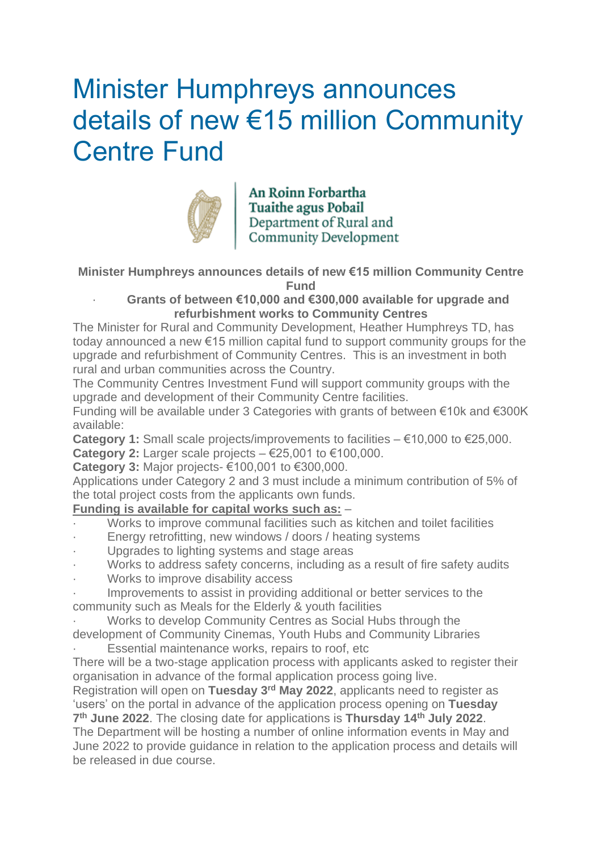# Minister Humphreys announces details of new €15 million Community Centre Fund



An Roinn Forbartha Tuaithe agus Pobail<br>Department of Rural and<br>Community Development

**Minister Humphreys announces details of new €15 million Community Centre Fund**

#### · **Grants of between €10,000 and €300,000 available for upgrade and refurbishment works to Community Centres**

The Minister for Rural and Community Development, Heather Humphreys TD, has today announced a new €15 million capital fund to support community groups for the upgrade and refurbishment of Community Centres. This is an investment in both rural and urban communities across the Country.

The Community Centres Investment Fund will support community groups with the upgrade and development of their Community Centre facilities.

Funding will be available under 3 Categories with grants of between €10k and €300K available:

**Category 1:** Small scale projects/improvements to facilities – €10,000 to €25,000. **Category 2:** Larger scale projects – €25,001 to €100,000.

**Category 3:** Major projects- €100,001 to €300,000.

Applications under Category 2 and 3 must include a minimum contribution of 5% of the total project costs from the applicants own funds.

## **Funding is available for capital works such as:** –

- Works to improve communal facilities such as kitchen and toilet facilities
- Energy retrofitting, new windows / doors / heating systems
- · Upgrades to lighting systems and stage areas
- Works to address safety concerns, including as a result of fire safety audits
- Works to improve disability access
- Improvements to assist in providing additional or better services to the community such as Meals for the Elderly & youth facilities
- Works to develop Community Centres as Social Hubs through the development of Community Cinemas, Youth Hubs and Community Libraries

Essential maintenance works, repairs to roof, etc.

There will be a two-stage application process with applicants asked to register their organisation in advance of the formal application process going live.

Registration will open on **Tuesday 3 rd May 2022**, applicants need to register as 'users' on the portal in advance of the application process opening on **Tuesday 7 th June 2022**. The closing date for applications is **Thursday 14th July 2022**.

The Department will be hosting a number of online information events in May and June 2022 to provide guidance in relation to the application process and details will be released in due course.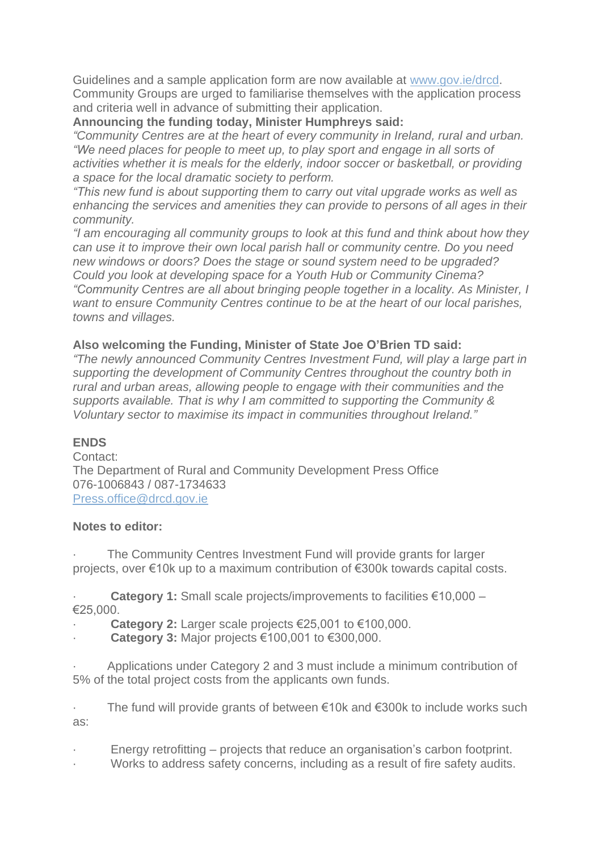Guidelines and a sample application form are now available at [www.gov.ie/drcd.](https://scanner.topsec.com/?t=fc3757bd9497787ec79d7222d42d9e8deae22049&u=www.gov.ie%2Fdrcd&d=1446&r=show) Community Groups are urged to familiarise themselves with the application process and criteria well in advance of submitting their application.

**Announcing the funding today, Minister Humphreys said:**

*"Community Centres are at the heart of every community in Ireland, rural and urban. "We need places for people to meet up, to play sport and engage in all sorts of activities whether it is meals for the elderly, indoor soccer or basketball, or providing a space for the local dramatic society to perform.*

*"This new fund is about supporting them to carry out vital upgrade works as well as enhancing the services and amenities they can provide to persons of all ages in their community.*

*"I am encouraging all community groups to look at this fund and think about how they can use it to improve their own local parish hall or community centre. Do you need new windows or doors? Does the stage or sound system need to be upgraded? Could you look at developing space for a Youth Hub or Community Cinema? "Community Centres are all about bringing people together in a locality. As Minister, I want to ensure Community Centres continue to be at the heart of our local parishes, towns and villages.*

#### **Also welcoming the Funding, Minister of State Joe O'Brien TD said:**

*"The newly announced Community Centres Investment Fund, will play a large part in supporting the development of Community Centres throughout the country both in rural and urban areas, allowing people to engage with their communities and the supports available. That is why I am committed to supporting the Community & Voluntary sector to maximise its impact in communities throughout Ireland."*

### **ENDS**

Contact: The Department of Rural and Community Development Press Office 076-1006843 / 087-1734633 [Press.office@drcd.gov.ie](mailto:Press.office@drcd.gov.ie)

#### **Notes to editor:**

The Community Centres Investment Fund will provide grants for larger projects, over €10k up to a maximum contribution of €300k towards capital costs.

· **Category 1:** Small scale projects/improvements to facilities €10,000 – €25,000.

· **Category 2:** Larger scale projects €25,001 to €100,000.

· **Category 3:** Major projects €100,001 to €300,000.

· Applications under Category 2 and 3 must include a minimum contribution of 5% of the total project costs from the applicants own funds.

The fund will provide grants of between €10k and  $€300k$  to include works such as:

- Energy retrofitting projects that reduce an organisation's carbon footprint.
- Works to address safety concerns, including as a result of fire safety audits.